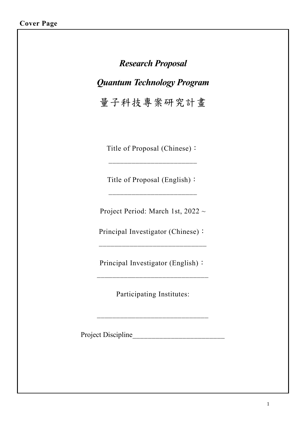# *Research Proposal Quantum Technology Program* 量子科技專案研究計畫

Title of Proposal (Chinese):

 $\overline{\phantom{a}}$  , where  $\overline{\phantom{a}}$  , where  $\overline{\phantom{a}}$ 

Title of Proposal (English):

Project Period: March 1st, 2022 ~

Principal Investigator (Chinese):

 $\mathcal{L}=\mathcal{L}=\mathcal{L}=\mathcal{L}=\mathcal{L}=\mathcal{L}=\mathcal{L}=\mathcal{L}=\mathcal{L}=\mathcal{L}=\mathcal{L}=\mathcal{L}=\mathcal{L}=\mathcal{L}=\mathcal{L}=\mathcal{L}=\mathcal{L}=\mathcal{L}=\mathcal{L}=\mathcal{L}=\mathcal{L}=\mathcal{L}=\mathcal{L}=\mathcal{L}=\mathcal{L}=\mathcal{L}=\mathcal{L}=\mathcal{L}=\mathcal{L}=\mathcal{L}=\mathcal{L}=\mathcal{L}=\mathcal{L}=\mathcal{L}=\mathcal{L}=\mathcal{L}=\mathcal{$ 

Principal Investigator (English):

 $\mathcal{L}_\text{max}$  , and the set of the set of the set of the set of the set of the set of the set of the set of the set of the set of the set of the set of the set of the set of the set of the set of the set of the set of the

Participating Institutes:

 $\mathcal{L}_\text{max}$  , and the set of the set of the set of the set of the set of the set of the set of the set of the set of the set of the set of the set of the set of the set of the set of the set of the set of the set of the

Project Discipline\_\_\_\_\_\_\_\_\_\_\_\_\_\_\_\_\_\_\_\_\_\_\_\_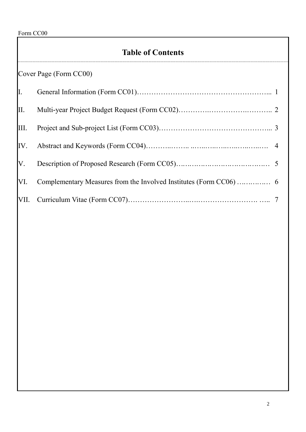Form CC00

## **Table of Contents**

|      | Cover Page (Form CC00) |  |
|------|------------------------|--|
| I.   |                        |  |
| II.  |                        |  |
| III. |                        |  |
|      |                        |  |
| V.   |                        |  |
| VI.  |                        |  |
|      |                        |  |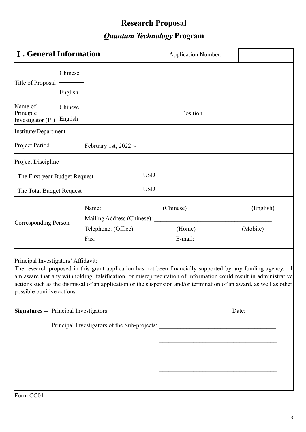# **Research Proposal** *Quantum Technology* **Program**

| <b>I</b> . General Information                                    |         |                                                                                                                                                                                                                                                                                                                                                       |            | <b>Application Number:</b>                                                                                             |  |  |
|-------------------------------------------------------------------|---------|-------------------------------------------------------------------------------------------------------------------------------------------------------------------------------------------------------------------------------------------------------------------------------------------------------------------------------------------------------|------------|------------------------------------------------------------------------------------------------------------------------|--|--|
|                                                                   | Chinese |                                                                                                                                                                                                                                                                                                                                                       |            |                                                                                                                        |  |  |
| Title of Proposal                                                 | English |                                                                                                                                                                                                                                                                                                                                                       |            |                                                                                                                        |  |  |
| Name of<br>Principle                                              | Chinese |                                                                                                                                                                                                                                                                                                                                                       |            | Position                                                                                                               |  |  |
| Investigator (PI)                                                 | English |                                                                                                                                                                                                                                                                                                                                                       |            |                                                                                                                        |  |  |
| Institute/Department                                              |         |                                                                                                                                                                                                                                                                                                                                                       |            |                                                                                                                        |  |  |
| Project Period                                                    |         | February 1st, $2022 \sim$                                                                                                                                                                                                                                                                                                                             |            |                                                                                                                        |  |  |
| Project Discipline                                                |         |                                                                                                                                                                                                                                                                                                                                                       |            |                                                                                                                        |  |  |
| The First-year Budget Request                                     |         |                                                                                                                                                                                                                                                                                                                                                       | <b>USD</b> |                                                                                                                        |  |  |
| The Total Budget Request                                          |         |                                                                                                                                                                                                                                                                                                                                                       | USD        |                                                                                                                        |  |  |
| <b>Corresponding Person</b>                                       |         | Name: (Chinese) (Chinese (English)                                                                                                                                                                                                                                                                                                                    |            |                                                                                                                        |  |  |
|                                                                   |         | Telephone: (Office) (Home) (Mobile)                                                                                                                                                                                                                                                                                                                   |            |                                                                                                                        |  |  |
|                                                                   |         |                                                                                                                                                                                                                                                                                                                                                       |            |                                                                                                                        |  |  |
| Principal Investigators' Affidavit:<br>possible punitive actions. |         | The research proposed in this grant application has not been financially supported by any funding agency. I<br>am aware that any withholding, falsification, or misrepresentation of information could result in administrative<br>actions such as the dismissal of an application or the suspension and/or termination of an award, as well as other |            |                                                                                                                        |  |  |
|                                                                   |         |                                                                                                                                                                                                                                                                                                                                                       |            |                                                                                                                        |  |  |
|                                                                   |         | Principal Investigators of the Sub-projects: ___________________________________                                                                                                                                                                                                                                                                      |            | <u> 1989 - Johann Barbara, martxa amerikana amerikana (h. 1989).</u>                                                   |  |  |
|                                                                   |         |                                                                                                                                                                                                                                                                                                                                                       |            | <u> 1989 - Johann Stoff, deutscher Stoffen und der Stoffen und der Stoffen und der Stoffen und der Stoffen und der</u> |  |  |
|                                                                   |         |                                                                                                                                                                                                                                                                                                                                                       |            | <u> 1980 - Johann Barn, fransk politik (f. 1980)</u>                                                                   |  |  |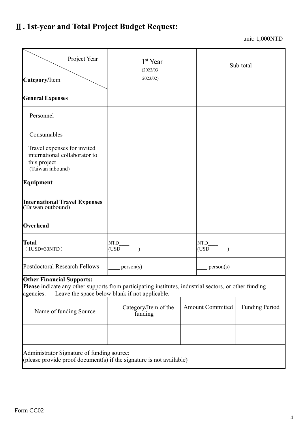# Ⅱ**. 1st-year and Total Project Budget Request:**

unit: 1,000NTD

| Project Year<br>Category/Item                                                                                                                                                                             | 1 <sup>st</sup> Year<br>$(2022/03 -$<br>2023/02) | Sub-total |                         |                       |  |  |  |
|-----------------------------------------------------------------------------------------------------------------------------------------------------------------------------------------------------------|--------------------------------------------------|-----------|-------------------------|-----------------------|--|--|--|
| <b>General Expenses</b>                                                                                                                                                                                   |                                                  |           |                         |                       |  |  |  |
| Personnel                                                                                                                                                                                                 |                                                  |           |                         |                       |  |  |  |
| Consumables                                                                                                                                                                                               |                                                  |           |                         |                       |  |  |  |
| Travel expenses for invited<br>international collaborator to<br>this project<br>(Taiwan inbound)                                                                                                          |                                                  |           |                         |                       |  |  |  |
| Equipment                                                                                                                                                                                                 |                                                  |           |                         |                       |  |  |  |
| International Travel Expenses<br>(Taiwan outbound)                                                                                                                                                        |                                                  |           |                         |                       |  |  |  |
| Overhead                                                                                                                                                                                                  |                                                  |           |                         |                       |  |  |  |
| <b>Total</b><br>$(1USD=30NTD)$                                                                                                                                                                            | <b>NTD</b><br>(USD                               |           | <b>NTD</b><br>(USD      |                       |  |  |  |
| <b>Postdoctoral Research Fellows</b>                                                                                                                                                                      | person(s)                                        |           | person(s)               |                       |  |  |  |
| <b>Other Financial Supports:</b><br>Please indicate any other supports from participating institutes, industrial sectors, or other funding<br>Leave the space below blank if not applicable.<br>agencies. |                                                  |           |                         |                       |  |  |  |
| Name of funding Source                                                                                                                                                                                    | Category/Item of the<br>funding                  |           | <b>Amount Committed</b> | <b>Funding Period</b> |  |  |  |
|                                                                                                                                                                                                           |                                                  |           |                         |                       |  |  |  |
| Administrator Signature of funding source:<br>(please provide proof document(s) if the signature is not available)                                                                                        |                                                  |           |                         |                       |  |  |  |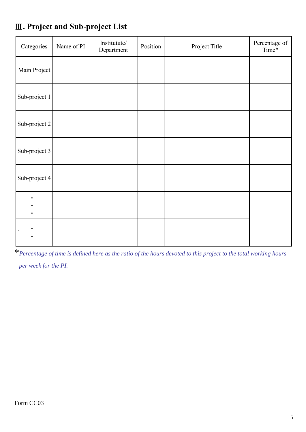| Categories    | Name of PI | Institutute/<br>Department | Position | Project Title | Percentage of<br>Time* |
|---------------|------------|----------------------------|----------|---------------|------------------------|
| Main Project  |            |                            |          |               |                        |
| Sub-project 1 |            |                            |          |               |                        |
| Sub-project 2 |            |                            |          |               |                        |
| Sub-project 3 |            |                            |          |               |                        |
| Sub-project 4 |            |                            |          |               |                        |
| $\bullet$     |            |                            |          |               |                        |
|               |            |                            |          |               |                        |

## Ⅲ**. Project and Sub-project List**

\**Percentage of time is defined here as the ratio of the hours devoted to this project to the total working hours per week for the PI.*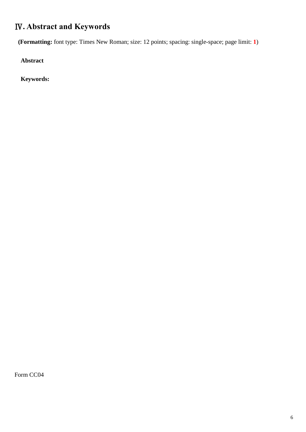#### Ⅳ**. Abstract and Keywords**

**(Formatting:** font type: Times New Roman; size: 12 points; spacing: single-space; page limit: **1**)

**Abstract**

**Keywords:**

Form CC04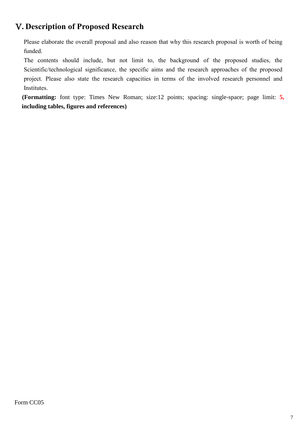#### Ⅴ**. Description of Proposed Research**

Please elaborate the overall proposal and also reason that why this research proposal is worth of being funded.

The contents should include, but not limit to, the background of the proposed studies, the Scientific/technological significance, the specific aims and the research approaches of the proposed project. Please also state the research capacities in terms of the involved research personnel and Institutes.

**(Formatting:** font type: Times New Roman; size:12 points; spacing: single-space; page limit: **5, including tables, figures and references)**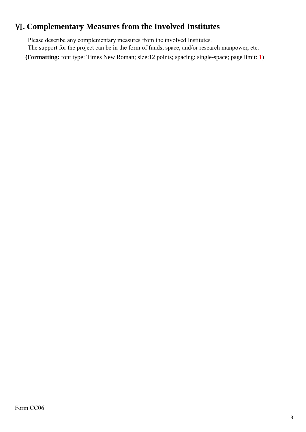#### Ⅵ**. Complementary Measures from the Involved Institutes**

Please describe any complementary measures from the involved Institutes. The support for the project can be in the form of funds, space, and/or research manpower, etc.

**(Formatting:** font type: Times New Roman; size:12 points; spacing: single-space; page limit: **1**)